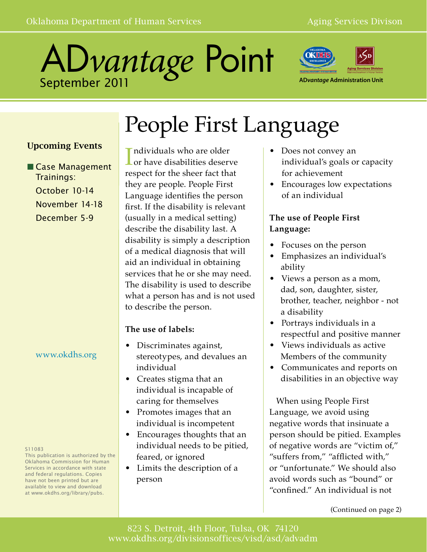



**AD***vantage* **Administration Unit**

# People First Language

### Upcoming Events

■ Case Management Trainings: October 10-14 November 14-18 December 5-9

### www.okdhs.org

#### S11083

This publication is authorized by the Oklahoma Commission for Human Services in accordance with state and federal regulations. Copies have not been printed but are available to view and download at www.okdhs.org/library/pubs.

### Individuals who are older<br>
or have disabilities deserve ndividuals who are older respect for the sheer fact that they are people. People First Language identifies the person first. If the disability is relevant (usually in a medical setting) describe the disability last. A disability is simply a description of a medical diagnosis that will aid an individual in obtaining services that he or she may need. The disability is used to describe what a person has and is not used to describe the person.

### **The use of labels:**

- Discriminates against, stereotypes, and devalues an individual
- Creates stigma that an individual is incapable of caring for themselves
- Promotes images that an individual is incompetent
- Encourages thoughts that an individual needs to be pitied, feared, or ignored
- Limits the description of a person
- Does not convey an individual's goals or capacity for achievement
- Encourages low expectations of an individual

### **The use of People First Language:**

- Focuses on the person
- Emphasizes an individual's ability
- Views a person as a mom, dad, son, daughter, sister, brother, teacher, neighbor - not a disability
- Portrays individuals in a respectful and positive manner
- Views individuals as active Members of the community
- Communicates and reports on disabilities in an objective way

 When using People First Language, we avoid using negative words that insinuate a person should be pitied. Examples of negative words are "victim of," "suffers from," "afflicted with," or "unfortunate." We should also avoid words such as "bound" or "confined." An individual is not

(Continued on page 2)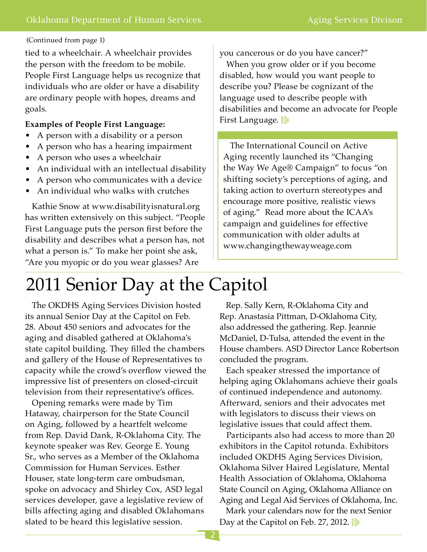#### (Continued from page 1)

tied to a wheelchair. A wheelchair provides the person with the freedom to be mobile. People First Language helps us recognize that individuals who are older or have a disability are ordinary people with hopes, dreams and goals.

#### **Examples of People First Language:**

- A person with a disability or a person
- A person who has a hearing impairment
- A person who uses a wheelchair
- An individual with an intellectual disability
- A person who communicates with a device
- An individual who walks with crutches

 Kathie Snow at www.disabilityisnatural.org has written extensively on this subject. "People First Language puts the person first before the disability and describes what a person has, not what a person is." To make her point she ask, "Are you myopic or do you wear glasses? Are

you cancerous or do you have cancer?"

 When you grow older or if you become disabled, how would you want people to describe you? Please be cognizant of the language used to describe people with disabilities and become an advocate for People First Language.  $\mathbb{S}^3$ 

 The International Council on Active Aging recently launched its "Changing the Way We Age® Campaign" to focus "on shifting society's perceptions of aging, and taking action to overturn stereotypes and encourage more positive, realistic views of aging." Read more about the ICAA's campaign and guidelines for effective communication with older adults at www.changingthewayweage.com

## 2011 Senior Day at the Capitol

 The OKDHS Aging Services Division hosted its annual Senior Day at the Capitol on Feb. 28. About 450 seniors and advocates for the aging and disabled gathered at Oklahoma's state capitol building. They filled the chambers and gallery of the House of Representatives to capacity while the crowd's overflow viewed the impressive list of presenters on closed-circuit television from their representative's offices.

 Opening remarks were made by Tim Hataway, chairperson for the State Council on Aging, followed by a heartfelt welcome from Rep. David Dank, R-Oklahoma City. The keynote speaker was Rev. George E. Young Sr., who serves as a Member of the Oklahoma Commission for Human Services. Esther Houser, state long-term care ombudsman, spoke on advocacy and Shirley Cox, ASD legal services developer, gave a legislative review of bills affecting aging and disabled Oklahomans slated to be heard this legislative session.

 Rep. Sally Kern, R-Oklahoma City and Rep. Anastasia Pittman, D-Oklahoma City, also addressed the gathering. Rep. Jeannie McDaniel, D-Tulsa, attended the event in the House chambers. ASD Director Lance Robertson concluded the program.

 Each speaker stressed the importance of helping aging Oklahomans achieve their goals of continued independence and autonomy. Afterward, seniors and their advocates met with legislators to discuss their views on legislative issues that could affect them.

 Participants also had access to more than 20 exhibitors in the Capitol rotunda. Exhibitors included OKDHS Aging Services Division, Oklahoma Silver Haired Legislature, Mental Health Association of Oklahoma, Oklahoma State Council on Aging, Oklahoma Alliance on Aging and Legal Aid Services of Oklahoma, Inc.

 Mark your calendars now for the next Senior Day at the Capitol on Feb. 27, 2012.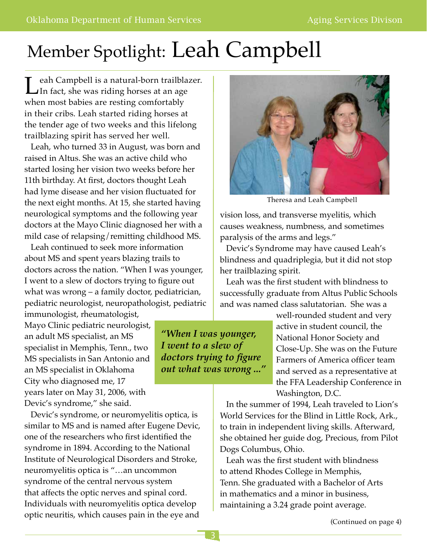# Member Spotlight: Leah Campbell

Leah Campbell is a natural-born trailblazer.<br>In fact, she was riding horses at an age when most babies are resting comfortably in their cribs. Leah started riding horses at the tender age of two weeks and this lifelong trailblazing spirit has served her well.

 Leah, who turned 33 in August, was born and raised in Altus. She was an active child who started losing her vision two weeks before her 11th birthday. At first, doctors thought Leah had lyme disease and her vision fluctuated for the next eight months. At 15, she started having neurological symptoms and the following year doctors at the Mayo Clinic diagnosed her with a mild case of relapsing/remitting childhood MS.

 Leah continued to seek more information about MS and spent years blazing trails to doctors across the nation. "When I was younger, I went to a slew of doctors trying to figure out what was wrong – a family doctor, pediatrician, pediatric neurologist, neuropathologist, pediatric

immunologist, rheumatologist, Mayo Clinic pediatric neurologist, an adult MS specialist, an MS specialist in Memphis, Tenn., two MS specialists in San Antonio and an MS specialist in Oklahoma City who diagnosed me, 17 years later on May 31, 2006, with Devic's syndrome," she said.

 Devic's syndrome, or neuromyelitis optica, is similar to MS and is named after Eugene Devic, one of the researchers who first identified the syndrome in 1894. According to the National Institute of Neurological Disorders and Stroke, neuromyelitis optica is "…an uncommon syndrome of the central nervous system that affects the optic nerves and spinal cord. Individuals with neuromyelitis optica develop optic neuritis, which causes pain in the eye and



Theresa and Leah Campbell

vision loss, and transverse myelitis, which causes weakness, numbness, and sometimes paralysis of the arms and legs."

 Devic's Syndrome may have caused Leah's blindness and quadriplegia, but it did not stop her trailblazing spirit.

 Leah was the first student with blindness to successfully graduate from Altus Public Schools and was named class salutatorian. She was a

> well-rounded student and very active in student council, the National Honor Society and Close-Up. She was on the Future Farmers of America officer team and served as a representative at the FFA Leadership Conference in Washington, D.C.

 In the summer of 1994, Leah traveled to Lion's World Services for the Blind in Little Rock, Ark., to train in independent living skills. Afterward, she obtained her guide dog, Precious, from Pilot Dogs Columbus, Ohio.

 Leah was the first student with blindness to attend Rhodes College in Memphis, Tenn. She graduated with a Bachelor of Arts in mathematics and a minor in business, maintaining a 3.24 grade point average.

*"When I was younger, I went to a slew of* 

*doctors trying to figure out what was wrong ..."*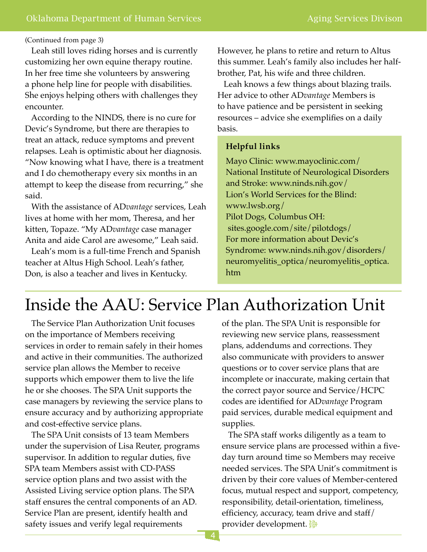#### (Continued from page 3)

 Leah still loves riding horses and is currently customizing her own equine therapy routine. In her free time she volunteers by answering a phone help line for people with disabilities. She enjoys helping others with challenges they encounter.

 According to the NINDS, there is no cure for Devic's Syndrome, but there are therapies to treat an attack, reduce symptoms and prevent relapses. Leah is optimistic about her diagnosis. "Now knowing what I have, there is a treatment and I do chemotherapy every six months in an attempt to keep the disease from recurring," she said.

 With the assistance of AD*vantage* services, Leah lives at home with her mom, Theresa, and her kitten, Topaze. "My AD*vantage* case manager Anita and aide Carol are awesome," Leah said.

 Leah's mom is a full-time French and Spanish teacher at Altus High School. Leah's father, Don, is also a teacher and lives in Kentucky.

However, he plans to retire and return to Altus this summer. Leah's family also includes her halfbrother, Pat, his wife and three children.

 Leah knows a few things about blazing trails. Her advice to other AD*vantage* Members is to have patience and be persistent in seeking resources – advice she exemplifies on a daily basis.

### **Helpful links**

Mayo Clinic: www.mayoclinic.com/ National Institute of Neurological Disorders and Stroke: www.ninds.nih.gov/ Lion's World Services for the Blind: www.lwsb.org/ Pilot Dogs, Columbus OH: sites.google.com/site/pilotdogs/ For more information about Devic's Syndrome: www.ninds.nih.gov/disorders/ neuromyelitis\_optica/neuromyelitis\_optica. htm

## Inside the AAU: Service Plan Authorization Unit

 The Service Plan Authorization Unit focuses on the importance of Members receiving services in order to remain safely in their homes and active in their communities. The authorized service plan allows the Member to receive supports which empower them to live the life he or she chooses. The SPA Unit supports the case managers by reviewing the service plans to ensure accuracy and by authorizing appropriate and cost-effective service plans.

 The SPA Unit consists of 13 team Members under the supervision of Lisa Reuter, programs supervisor. In addition to regular duties, five SPA team Members assist with CD-PASS service option plans and two assist with the Assisted Living service option plans. The SPA staff ensures the central components of an AD*.*  Service Plan are present, identify health and safety issues and verify legal requirements

of the plan. The SPA Unit is responsible for reviewing new service plans, reassessment plans, addendums and corrections. They also communicate with providers to answer questions or to cover service plans that are incomplete or inaccurate, making certain that the correct payor source and Service/HCPC codes are identified for AD*vantage* Program paid services, durable medical equipment and supplies.

 The SPA staff works diligently as a team to ensure service plans are processed within a fiveday turn around time so Members may receive needed services. The SPA Unit's commitment is driven by their core values of Member-centered focus, mutual respect and support, competency, responsibility, detail-orientation, timeliness, efficiency, accuracy, team drive and staff/ provider development.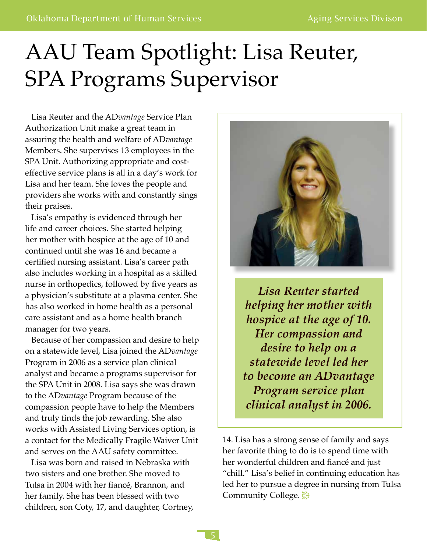# AAU Team Spotlight: Lisa Reuter, SPA Programs Supervisor

 Lisa Reuter and the AD*vantage* Service Plan Authorization Unit make a great team in assuring the health and welfare of AD*vantage*  Members. She supervises 13 employees in the SPA Unit. Authorizing appropriate and costeffective service plans is all in a day's work for Lisa and her team. She loves the people and providers she works with and constantly sings their praises.

 Lisa's empathy is evidenced through her life and career choices. She started helping her mother with hospice at the age of 10 and continued until she was 16 and became a certified nursing assistant. Lisa's career path also includes working in a hospital as a skilled nurse in orthopedics, followed by five years as a physician's substitute at a plasma center. She has also worked in home health as a personal care assistant and as a home health branch manager for two years.

 Because of her compassion and desire to help on a statewide level, Lisa joined the AD*vantage*  Program in 2006 as a service plan clinical analyst and became a programs supervisor for the SPA Unit in 2008. Lisa says she was drawn to the AD*vantage* Program because of the compassion people have to help the Members and truly finds the job rewarding. She also works with Assisted Living Services option, is a contact for the Medically Fragile Waiver Unit and serves on the AAU safety committee.

 Lisa was born and raised in Nebraska with two sisters and one brother. She moved to Tulsa in 2004 with her fiancé, Brannon, and her family. She has been blessed with two children, son Coty, 17, and daughter, Cortney,



*Lisa Reuter started helping her mother with hospice at the age of 10. Her compassion and desire to help on a statewide level led her to become an ADvantage Program service plan clinical analyst in 2006.*

14. Lisa has a strong sense of family and says her favorite thing to do is to spend time with her wonderful children and fiancé and just "chill." Lisa's belief in continuing education has led her to pursue a degree in nursing from Tulsa Community College.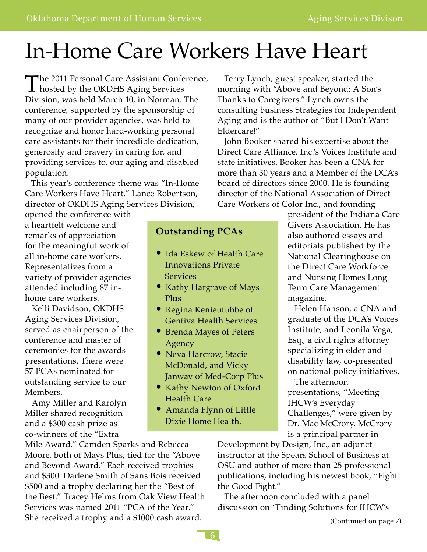# In-Home Care Workers Have Heart

The 2011 Personal Care Assistant Conference,<br>hosted by the OKDHS Aging Services Division, was held March 10, in Norman. The conference, supported by the sponsorship of many of our provider agencies, was held to recognize and honor hard-working personal care assistants for their incredible dedication, generosity and bravery in caring for, and providing services to, our aging and disabled population.

 This year's conference theme was "In-Home Care Workers Have Heart." Lance Robertson, director of OKDHS Aging Services Division,

opened the conference with a heartfelt welcome and remarks of appreciation for the meaningful work of all in-home care workers. Representatives from a variety of provider agencies attended including 87 inhome care workers.

 Kelli Davidson, OKDHS Aging Services Division, served as chairperson of the conference and master of ceremonies for the awards presentations. There were 57 PCAs nominated for outstanding service to our Members.

 Amy Miller and Karolyn Miller shared recognition and a \$300 cash prize as co-winners of the "Extra

Mile Award." Camden Sparks and Rebecca Moore, both of Mays Plus, tied for the "Above and Beyond Award." Each received trophies and \$300. Darlene Smith of Sans Bois received \$500 and a trophy declaring her the "Best of the Best." Tracey Helms from Oak View Health Services was named 2011 "PCA of the Year." She received a trophy and a \$1000 cash award.

 Terry Lynch, guest speaker, started the morning with "Above and Beyond: A Son's Thanks to Caregivers." Lynch owns the consulting business Strategies for Independent Aging and is the author of "But I Don't Want Eldercare!"

 John Booker shared his expertise about the Direct Care Alliance, Inc.'s Voices Institute and state initiatives. Booker has been a CNA for more than 30 years and a Member of the DCA's board of directors since 2000. He is founding director of the National Association of Direct Care Workers of Color Inc., and founding

### **Outstanding PCAs**

- Ida Eskew of Health Care Innovations Private Services
- Kathy Hargrave of Mays Plus
- Regina Kenieutubbe of Gentiva Health Services
- Brenda Mayes of Peters Agency
- Neva Harcrow, Stacie McDonald, and Vicky Janway of Med-Corp Plus
- Kathy Newton of Oxford Health Care
- Amanda Flynn of Little Dixie Home Health.

president of the Indiana Care Givers Association. He has also authored essays and editorials published by the National Clearinghouse on the Direct Care Workforce and Nursing Homes Long Term Care Management magazine.

 Helen Hanson, a CNA and graduate of the DCA's Voices Institute, and Leonila Vega, Esq., a civil rights attorney specializing in elder and disability law, co-presented on national policy initiatives.

 The afternoon presentations, "Meeting IHCW's Everyday Challenges," were given by Dr. Mac McCrory. McCrory is a principal partner in

Development by Design, Inc., an adjunct instructor at the Spears School of Business at OSU and author of more than 25 professional publications, including his newest book, "Fight the Good Fight."

 The afternoon concluded with a panel discussion on "Finding Solutions for IHCW's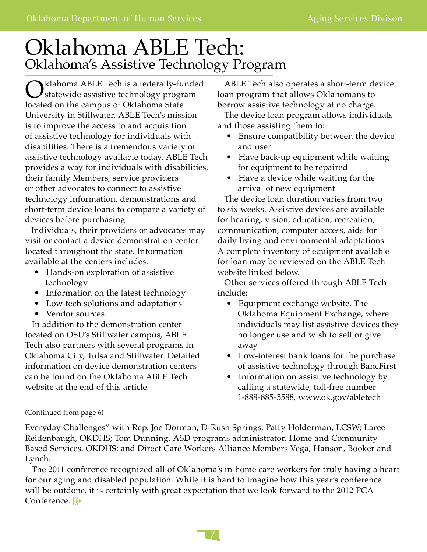## Oklahoma ABLE Tech: Oklahoma's Assistive Technology Program

Oklahoma ABLE Tech is a federally-funded statewide assistive technology program located on the campus of Oklahoma State University in Stillwater. ABLE Tech's mission is to improve the access to and acquisition of assistive technology for individuals with disabilities. There is a tremendous variety of assistive technology available today. ABLE Tech provides a way for individuals with disabilities, their family Members, service providers or other advocates to connect to assistive technology information, demonstrations and short-term device loans to compare a variety of devices before purchasing.

 Individuals, their providers or advocates may visit or contact a device demonstration center located throughout the state. Information available at the centers includes:

- Hands-on exploration of assistive technology
- Information on the latest technology
- Low-tech solutions and adaptations
- Vendor sources

 In addition to the demonstration center located on OSU's Stillwater campus, ABLE Tech also partners with several programs in Oklahoma City, Tulsa and Stillwater. Detailed information on device demonstration centers can be found on the Oklahoma ABLE Tech website at the end of this article.

 ABLE Tech also operates a short-term device loan program that allows Oklahomans to borrow assistive technology at no charge.

 The device loan program allows individuals and those assisting them to:

- Ensure compatibility between the device and user
- Have back-up equipment while waiting for equipment to be repaired
- Have a device while waiting for the arrival of new equipment

 The device loan duration varies from two to six weeks. Assistive devices are available for hearing, vision, education, recreation, communication, computer access, aids for daily living and environmental adaptations. A complete inventory of equipment available for loan may be reviewed on the ABLE Tech website linked below.

 Other services offered through ABLE Tech include:

- Equipment exchange website, The Oklahoma Equipment Exchange, where individuals may list assistive devices they no longer use and wish to sell or give away
- Low-interest bank loans for the purchase of assistive technology through BancFirst
- Information on assistive technology by calling a statewide, toll-free number 1-888-885-5588, www.ok.gov/abletech

#### (Continued from page 6)

Everyday Challenges" with Rep. Joe Dorman, D-Rush Springs; Patty Holderman, LCSW; Laree Reidenbaugh, OKDHS; Tom Dunning, ASD programs administrator, Home and Community Based Services, OKDHS; and Direct Care Workers Alliance Members Vega, Hanson, Booker and Lynch.

 The 2011 conference recognized all of Oklahoma's in-home care workers for truly having a heart for our aging and disabled population. While it is hard to imagine how this year's conference will be outdone, it is certainly with great expectation that we look forward to the 2012 PCA Conference.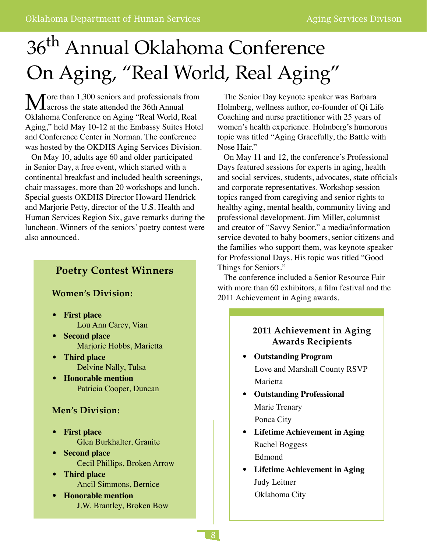# 36th Annual Oklahoma Conference On Aging, "Real World, Real Aging"

 $\mathbf{M}$  ore than 1,300 seniors and professionals from<br>Oklahoma Conference on Asian "Daal Warld, Baal Oklahoma Conference on Aging "Real World, Real Aging," held May 10-12 at the Embassy Suites Hotel and Conference Center in Norman. The conference was hosted by the OKDHS Aging Services Division.

 On May 10, adults age 60 and older participated in Senior Day, a free event, which started with a continental breakfast and included health screenings, chair massages, more than 20 workshops and lunch. Special guests OKDHS Director Howard Hendrick and Marjorie Petty, director of the U.S. Health and Human Services Region Six, gave remarks during the luncheon. Winners of the seniors' poetry contest were also announced.

### **Poetry Contest Winners**

### **Women's Division:**

- **First place** Lou Ann Carey, Vian
- **Second place** Marjorie Hobbs, Marietta
- **Third place** Delvine Nally, Tulsa
- **Honorable mention** Patricia Cooper, Duncan

### **Men's Division:**

- **First place**  Glen Burkhalter, Granite
- **Second place**  Cecil Phillips, Broken Arrow
- **Third place**  Ancil Simmons, Bernice
- **Honorable mention**  J.W. Brantley, Broken Bow

 The Senior Day keynote speaker was Barbara Holmberg, wellness author, co-founder of Qi Life Coaching and nurse practitioner with 25 years of women's health experience. Holmberg's humorous topic was titled "Aging Gracefully, the Battle with Nose Hair."

 On May 11 and 12, the conference's Professional Days featured sessions for experts in aging, health and social services, students, advocates, state officials and corporate representatives. Workshop session topics ranged from caregiving and senior rights to healthy aging, mental health, community living and professional development. Jim Miller, columnist and creator of "Savvy Senior," a media/information service devoted to baby boomers, senior citizens and the families who support them, was keynote speaker for Professional Days. His topic was titled "Good Things for Seniors."

 The conference included a Senior Resource Fair with more than 60 exhibitors, a film festival and the 2011 Achievement in Aging awards.

### **2011 Achievement in Aging Awards Recipients**

- **Outstanding Program** Love and Marshall County RSVP Marietta
- **Outstanding Professional** Marie Trenary Ponca City
- **Lifetime Achievement in Aging** Rachel Boggess Edmond
- **Lifetime Achievement in Aging** Judy Leitner Oklahoma City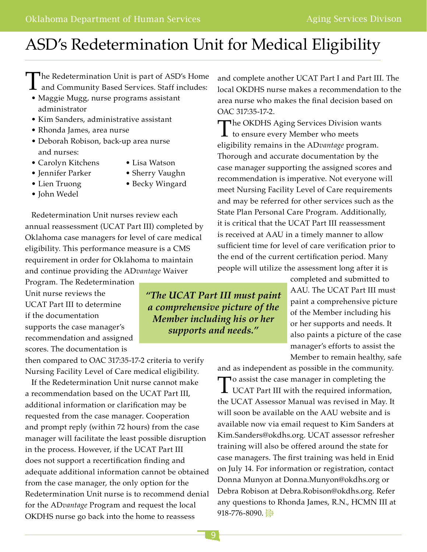## ASD's Redetermination Unit for Medical Eligibility

The Redetermination Unit is part of ASD's Home

- **1** and Community Based Services. Staff includes: • Maggie Mugg, nurse programs assistant administrator
- Kim Sanders, administrative assistant
- Rhonda James, area nurse
- Deborah Robison, back-up area nurse and nurses:
- Carolyn Kitchens Lisa Watson
	-
- 
- 
- John Wedel
- Jennifer Parker Sherry Vaughn
- Lien Truong Becky Wingard

 Redetermination Unit nurses review each annual reassessment (UCAT Part III) completed by Oklahoma case managers for level of care medical eligibility. This performance measure is a CMS requirement in order for Oklahoma to maintain and continue providing the AD*vantage* Waiver

Program. The Redetermination Unit nurse reviews the UCAT Part III to determine if the documentation supports the case manager's recommendation and assigned scores. The documentation is

then compared to OAC 317:35-17-2 criteria to verify Nursing Facility Level of Care medical eligibility.

 If the Redetermination Unit nurse cannot make a recommendation based on the UCAT Part III, additional information or clarification may be requested from the case manager. Cooperation and prompt reply (within 72 hours) from the case manager will facilitate the least possible disruption in the process. However, if the UCAT Part III does not support a recertification finding and adequate additional information cannot be obtained from the case manager, the only option for the Redetermination Unit nurse is to recommend denial for the AD*vantage* Program and request the local OKDHS nurse go back into the home to reassess

and complete another UCAT Part I and Part III. The local OKDHS nurse makes a recommendation to the area nurse who makes the final decision based on OAC 317:35-17-2.

The OKDHS Aging Services Division wants<br>to ensure every Member who meets eligibility remains in the AD*vantage* program. Thorough and accurate documentation by the case manager supporting the assigned scores and recommendation is imperative. Not everyone will meet Nursing Facility Level of Care requirements and may be referred for other services such as the State Plan Personal Care Program. Additionally, it is critical that the UCAT Part III reassessment is received at AAU in a timely manner to allow sufficient time for level of care verification prior to the end of the current certification period. Many people will utilize the assessment long after it is

> completed and submitted to AAU. The UCAT Part III must paint a comprehensive picture of the Member including his or her supports and needs. It also paints a picture of the case manager's efforts to assist the Member to remain healthy, safe

and as independent as possible in the community. To assist the case manager in completing the<br>UCAT Part III with the required information, the UCAT Assessor Manual was revised in May. It will soon be available on the AAU website and is available now via email request to Kim Sanders at Kim.Sanders@okdhs.org. UCAT assessor refresher training will also be offered around the state for case managers. The first training was held in Enid on July 14. For information or registration, contact Donna Munyon at Donna.Munyon@okdhs.org or Debra Robison at Debra.Robison@okdhs.org. Refer any questions to Rhonda James, R.N., HCMN III at 918-776-8090.

*"The UCAT Part III must paint a comprehensive picture of the Member including his or her supports and needs."*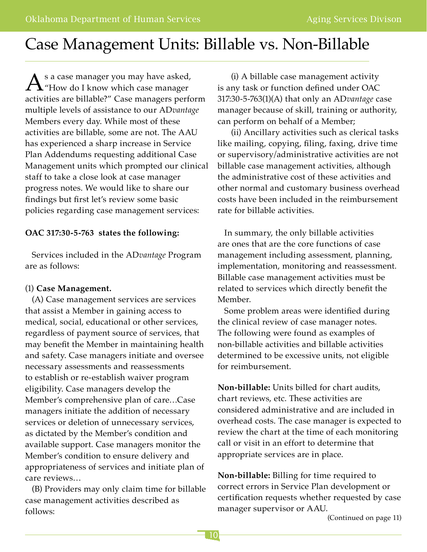## Case Management Units: Billable vs. Non-Billable

 $A$ <sup>s a case manager you may have asked,<br>"How do I know which case manager"</sup> activities are billable?" Case managers perform multiple levels of assistance to our AD*vantage*  Members every day. While most of these activities are billable, some are not. The AAU has experienced a sharp increase in Service Plan Addendums requesting additional Case Management units which prompted our clinical staff to take a close look at case manager progress notes. We would like to share our findings but first let's review some basic policies regarding case management services:

### **OAC 317:30-5-763 states the following:**

 Services included in the AD*vantage* Program are as follows:

### (1) **Case Management.**

 (A) Case management services are services that assist a Member in gaining access to medical, social, educational or other services, regardless of payment source of services, that may benefit the Member in maintaining health and safety. Case managers initiate and oversee necessary assessments and reassessments to establish or re-establish waiver program eligibility. Case managers develop the Member's comprehensive plan of care…Case managers initiate the addition of necessary services or deletion of unnecessary services, as dictated by the Member's condition and available support. Case managers monitor the Member's condition to ensure delivery and appropriateness of services and initiate plan of care reviews…

 (B) Providers may only claim time for billable case management activities described as follows:

 (i) A billable case management activity is any task or function defined under OAC 317:30-5-763(1)(A) that only an AD*vantage* case manager because of skill, training or authority, can perform on behalf of a Member;

 (ii) Ancillary activities such as clerical tasks like mailing, copying, filing, faxing, drive time or supervisory/administrative activities are not billable case management activities, although the administrative cost of these activities and other normal and customary business overhead costs have been included in the reimbursement rate for billable activities.

 In summary, the only billable activities are ones that are the core functions of case management including assessment, planning, implementation, monitoring and reassessment. Billable case management activities must be related to services which directly benefit the Member.

 Some problem areas were identified during the clinical review of case manager notes. The following were found as examples of non-billable activities and billable activities determined to be excessive units, not eligible for reimbursement.

**Non-billable:** Units billed for chart audits, chart reviews, etc. These activities are considered administrative and are included in overhead costs. The case manager is expected to review the chart at the time of each monitoring call or visit in an effort to determine that appropriate services are in place.

**Non-billable:** Billing for time required to correct errors in Service Plan development or certification requests whether requested by case manager supervisor or AAU.

(Continued on page 11)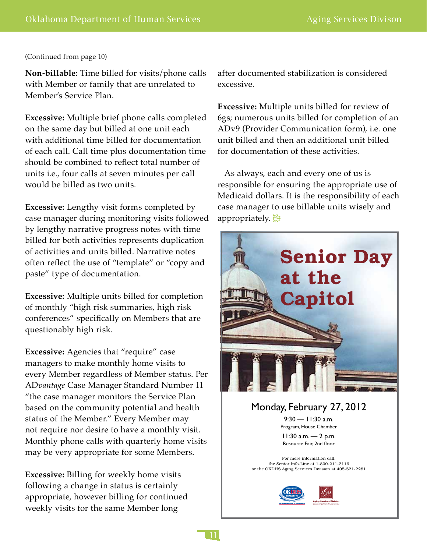#### (Continued from page 10)

**Non-billable:** Time billed for visits/phone calls with Member or family that are unrelated to Member's Service Plan.

**Excessive:** Multiple brief phone calls completed on the same day but billed at one unit each with additional time billed for documentation of each call. Call time plus documentation time should be combined to reflect total number of units i.e., four calls at seven minutes per call would be billed as two units.

**Excessive:** Lengthy visit forms completed by case manager during monitoring visits followed by lengthy narrative progress notes with time billed for both activities represents duplication of activities and units billed. Narrative notes often reflect the use of "template" or "copy and paste" type of documentation.

**Excessive:** Multiple units billed for completion of monthly "high risk summaries, high risk conferences" specifically on Members that are questionably high risk.

**Excessive:** Agencies that "require" case managers to make monthly home visits to every Member regardless of Member status. Per AD*vantage* Case Manager Standard Number 11 "the case manager monitors the Service Plan based on the community potential and health status of the Member." Every Member may not require nor desire to have a monthly visit. Monthly phone calls with quarterly home visits may be very appropriate for some Members.

**Excessive:** Billing for weekly home visits following a change in status is certainly appropriate, however billing for continued weekly visits for the same Member long

after documented stabilization is considered excessive.

**Excessive:** Multiple units billed for review of 6gs; numerous units billed for completion of an ADv9 (Provider Communication form), i.e. one unit billed and then an additional unit billed for documentation of these activities.

As always, each and every one of us is responsible for ensuring the appropriate use of Medicaid dollars. It is the responsibility of each case manager to use billable units wisely and appropriately.



FINAL IMAGE